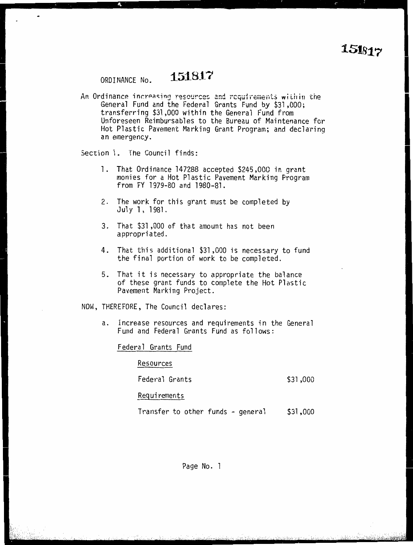## ORDINANCE No. **151817**

An Ordinance increasing resources and requirements within the<br>General Fund and the Federal Grants Fund by \$31,000; transferring \$31,000 within the General Fund from Unforeseen Reimbursables to the Bureau of Maintenance for Toreseen Reimbursables to the Bureau of Maintenance for<br>+ Plastic Pavement Marking Grant Program: and declaring t Flastic Favement Marking Grant Frogram; and declaring<br>| emergency an emergency.

Section 1. The Council finds:

- 1. That Ordinance 147288 accepted \$245,000 in grant from FY 1979-80 and 1980-81.
- 2. The work for this grant must be completed by<br>July 1, 1981.
- 3. That \$31,000 of that amount has not been appropriated.
- . That this additional \$31,000 is necessary to fund.<br>The final nortion of work to be completed the final portion of work to be completed.
- 5. That it is necessary to appropriate the balance of these grant funds to complete the Hot Plastic Pavement Marking Project.

NOW, THEREFORE, The Council declares:

. Increase resources and requirements in the General<br>Fund and Federal Grants Fund as follows: Fund and Federal Grants Fund as follows:

Federal Grants Fund

Resources

Federal Grants \$31,000

Requirements

Transfer to other funds - general \$31,000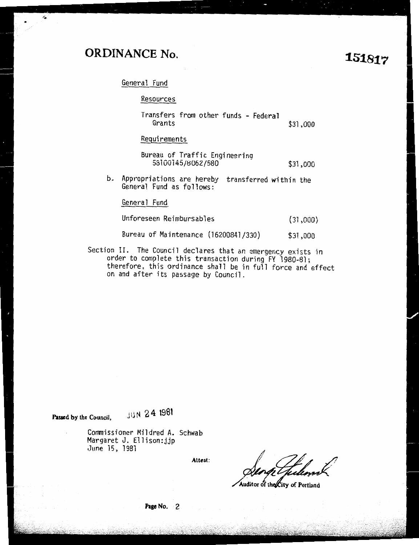## **ORDINANCE No.**

**1S1817** 

General Fund

|    | Resources                                                                    |          |
|----|------------------------------------------------------------------------------|----------|
|    | Transfers from other funds - Federal<br>Grants                               | \$31,000 |
|    | Requirements                                                                 |          |
|    | Bureau of Traffic Engineering<br>58100145/8062/580                           | \$31,000 |
| b. | Appropriations are hereby transferred within the<br>General Fund as follows: |          |
|    | General Fund                                                                 |          |
|    | Unforeseen Reimbursables                                                     | (31,000) |
|    | Bureau of Maintenance (16200841/330)                                         | \$31,000 |
|    | on II. The Council declares that an emergency exists in                      |          |

Section II. The Council declares that ar. emergency exists in order to complete this transaction during FY 1980-81; therefore, this ordinance shall be in full force and effect on and after its passage by Council.

Passed by the Council. **JUN 24 1981** 

Commissioner Mildred A. Schwab Margaret J. Ellison:jjp June 15, 1981

**Attest:** 

~ ,- *<sup>I</sup>*'/ /  $e$ thelemet

Auditor of the City of Portland